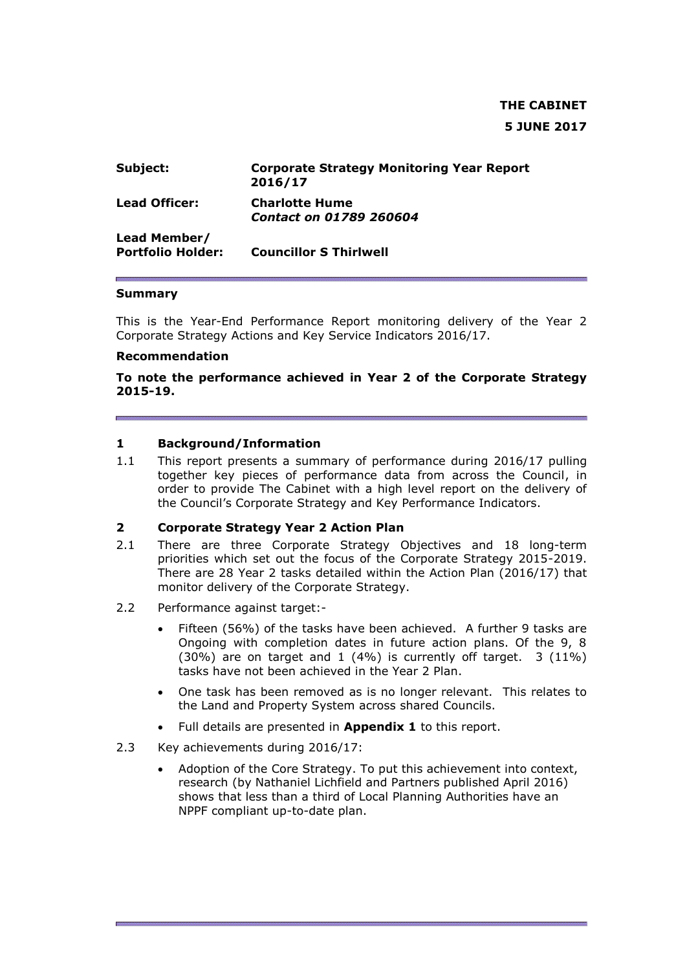# **THE CABINET 5 JUNE 2017**

| Subject:                                 | <b>Corporate Strategy Monitoring Year Report</b><br>2016/17 |
|------------------------------------------|-------------------------------------------------------------|
| <b>Lead Officer:</b>                     | <b>Charlotte Hume</b><br>Contact on 01789 260604            |
| Lead Member/<br><b>Portfolio Holder:</b> | <b>Councillor S Thirlwell</b>                               |

#### **Summary**

This is the Year-End Performance Report monitoring delivery of the Year 2 Corporate Strategy Actions and Key Service Indicators 2016/17.

#### **Recommendation**

**To note the performance achieved in Year 2 of the Corporate Strategy 2015-19.**

#### **1 Background/Information**

1.1 This report presents a summary of performance during 2016/17 pulling together key pieces of performance data from across the Council, in order to provide The Cabinet with a high level report on the delivery of the Council's Corporate Strategy and Key Performance Indicators.

#### **2 Corporate Strategy Year 2 Action Plan**

- 2.1 There are three Corporate Strategy Objectives and 18 long-term priorities which set out the focus of the Corporate Strategy 2015-2019. There are 28 Year 2 tasks detailed within the Action Plan (2016/17) that monitor delivery of the Corporate Strategy.
- 2.2 Performance against target:-
	- Fifteen (56%) of the tasks have been achieved. A further 9 tasks are Ongoing with completion dates in future action plans. Of the 9, 8  $(30\%)$  are on target and 1  $(4\%)$  is currently off target. 3  $(11\%)$ tasks have not been achieved in the Year 2 Plan.
	- One task has been removed as is no longer relevant. This relates to the Land and Property System across shared Councils.
	- Full details are presented in **Appendix 1** to this report.
- 2.3 Key achievements during 2016/17:
	- Adoption of the Core Strategy. To put this achievement into context, research (by Nathaniel Lichfield and Partners published April 2016) shows that less than a third of Local Planning Authorities have an NPPF compliant up-to-date plan.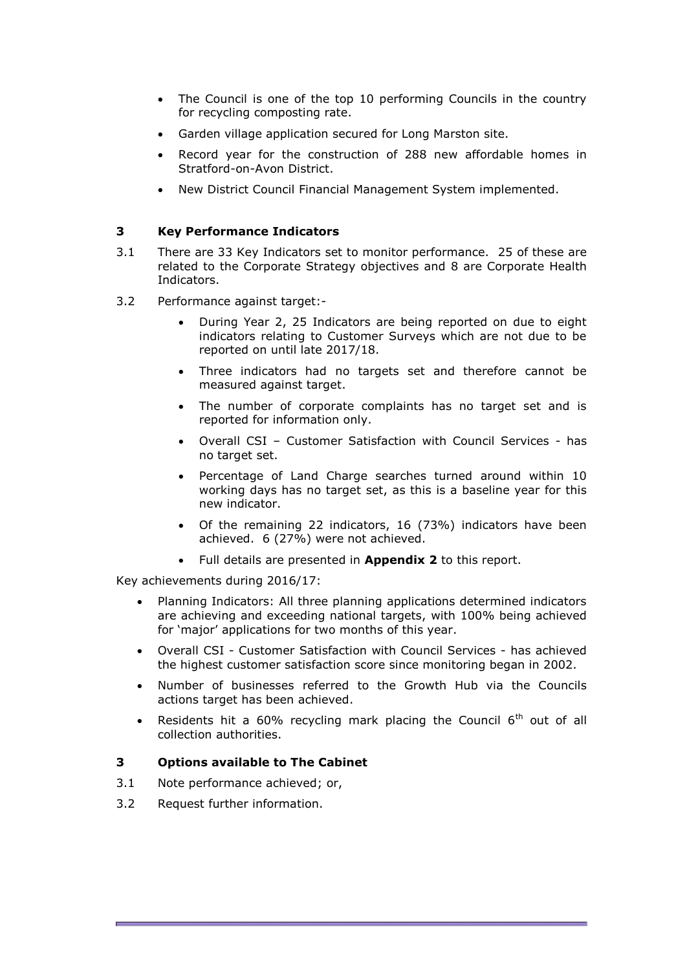- The Council is one of the top 10 performing Councils in the country for recycling composting rate.
- Garden village application secured for Long Marston site.
- Record year for the construction of 288 new affordable homes in Stratford-on-Avon District.
- New District Council Financial Management System implemented.

#### **3 Key Performance Indicators**

- 3.1 There are 33 Key Indicators set to monitor performance. 25 of these are related to the Corporate Strategy objectives and 8 are Corporate Health Indicators.
- 3.2 Performance against target:-
	- During Year 2, 25 Indicators are being reported on due to eight indicators relating to Customer Surveys which are not due to be reported on until late 2017/18.
	- Three indicators had no targets set and therefore cannot be measured against target.
	- The number of corporate complaints has no target set and is reported for information only.
	- Overall CSI Customer Satisfaction with Council Services has no target set.
	- Percentage of Land Charge searches turned around within 10 working days has no target set, as this is a baseline year for this new indicator.
	- Of the remaining 22 indicators, 16 (73%) indicators have been achieved. 6 (27%) were not achieved.
	- Full details are presented in **Appendix 2** to this report.

Key achievements during 2016/17:

- Planning Indicators: All three planning applications determined indicators are achieving and exceeding national targets, with 100% being achieved for 'major' applications for two months of this year.
- Overall CSI Customer Satisfaction with Council Services has achieved the highest customer satisfaction score since monitoring began in 2002.
- Number of businesses referred to the Growth Hub via the Councils actions target has been achieved.
- Residents hit a 60% recycling mark placing the Council  $6<sup>th</sup>$  out of all collection authorities.

#### **3 Options available to The Cabinet**

- 3.1 Note performance achieved; or,
- 3.2 Request further information.